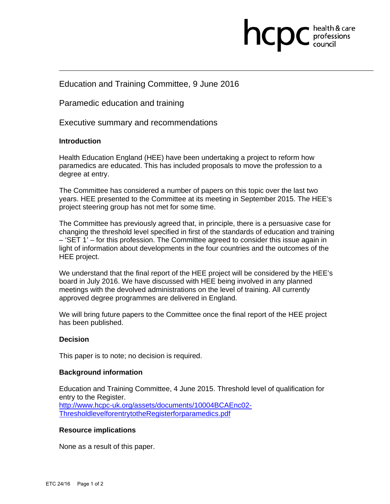

### Education and Training Committee, 9 June 2016

Paramedic education and training

Executive summary and recommendations

### **Introduction**

Health Education England (HEE) have been undertaking a project to reform how paramedics are educated. This has included proposals to move the profession to a degree at entry.

The Committee has considered a number of papers on this topic over the last two years. HEE presented to the Committee at its meeting in September 2015. The HEE's project steering group has not met for some time.

The Committee has previously agreed that, in principle, there is a persuasive case for changing the threshold level specified in first of the standards of education and training – 'SET 1' – for this profession. The Committee agreed to consider this issue again in light of information about developments in the four countries and the outcomes of the HEE project.

We understand that the final report of the HEE project will be considered by the HEE's board in July 2016. We have discussed with HEE being involved in any planned meetings with the devolved administrations on the level of training. All currently approved degree programmes are delivered in England.

We will bring future papers to the Committee once the final report of the HEE project has been published.

#### **Decision**

This paper is to note; no decision is required.

#### **Background information**

Education and Training Committee, 4 June 2015. Threshold level of qualification for entry to the Register. http://www.hcpc-uk.org/assets/documents/10004BCAEnc02- ThresholdlevelforentrytotheRegisterforparamedics.pdf

#### **Resource implications**

None as a result of this paper.